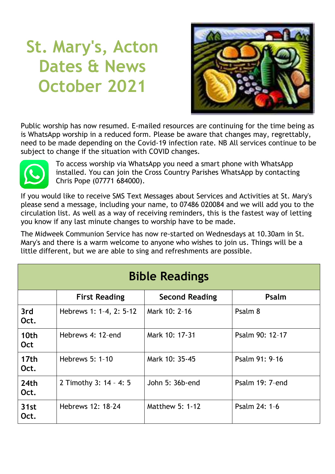# **St. Mary's, Acton Dates & News October 2021**



Public worship has now resumed. E-mailed resources are continuing for the time being as is WhatsApp worship in a reduced form. Please be aware that changes may, regrettably, need to be made depending on the Covid-19 infection rate. NB All services continue to be subject to change if the situation with COVID changes.



To access worship via WhatsApp you need a smart phone with WhatsApp installed. You can join the Cross Country Parishes WhatsApp by contacting Chris Pope (07771 684000).

If you would like to receive SMS Text Messages about Services and Activities at St. Mary's please send a message, including your name, to 07486 020084 and we will add you to the circulation list. As well as a way of receiving reminders, this is the fastest way of letting you know if any last minute changes to worship have to be made.

The Midweek Communion Service has now re-started on Wednesdays at 10.30am in St. Mary's and there is a warm welcome to anyone who wishes to join us. Things will be a little different, but we are able to sing and refreshments are possible.

| <b>Bible Readings</b>    |                         |                       |                 |  |  |  |
|--------------------------|-------------------------|-----------------------|-----------------|--|--|--|
|                          | <b>First Reading</b>    | <b>Second Reading</b> | Psalm           |  |  |  |
| 3rd<br>Oct.              | Hebrews 1: 1-4, 2: 5-12 | Mark 10: 2-16         | Psalm 8         |  |  |  |
| 10th<br><b>Oct</b>       | Hebrews 4: 12-end       | Mark 10: 17-31        | Psalm 90: 12-17 |  |  |  |
| 17 <sub>th</sub><br>Oct. | Hebrews 5: 1-10         | Mark 10: 35-45        | Psalm 91: 9-16  |  |  |  |
| 24 <sub>th</sub><br>Oct. | 2 Timothy 3: 14 - 4: 5  | John 5: 36b-end       | Psalm 19: 7-end |  |  |  |
| 31st<br>Oct.             | Hebrews 12: 18-24       | Matthew 5: 1-12       | Psalm 24: 1-6   |  |  |  |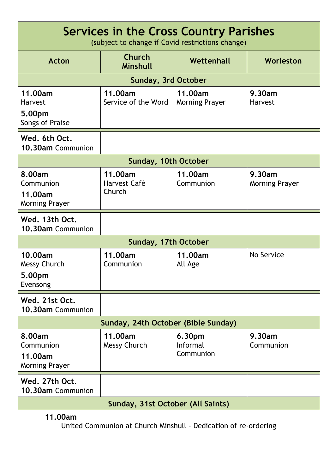| Services in the Cross Country Parishes<br>(subject to change if Covid restrictions change) |                                   |                                        |                                 |  |  |  |
|--------------------------------------------------------------------------------------------|-----------------------------------|----------------------------------------|---------------------------------|--|--|--|
| <b>Acton</b>                                                                               | <b>Church</b><br>Minshull         | Wettenhall                             | Worleston                       |  |  |  |
| <b>Sunday, 3rd October</b>                                                                 |                                   |                                        |                                 |  |  |  |
| 11.00am<br><b>Harvest</b><br>5.00pm<br>Songs of Praise                                     | 11.00am<br>Service of the Word    | 11.00am<br><b>Morning Prayer</b>       | 9.30am<br><b>Harvest</b>        |  |  |  |
| Wed. 6th Oct.<br>10.30am Communion                                                         |                                   |                                        |                                 |  |  |  |
| Sunday, 10th October                                                                       |                                   |                                        |                                 |  |  |  |
| 8.00am<br>Communion<br>11.00am<br><b>Morning Prayer</b>                                    | 11.00am<br>Harvest Café<br>Church | 11.00am<br>Communion                   | 9.30am<br><b>Morning Prayer</b> |  |  |  |
| Wed. 13th Oct.<br>10.30am Communion                                                        |                                   |                                        |                                 |  |  |  |
| Sunday, 17th October                                                                       |                                   |                                        |                                 |  |  |  |
| 10.00am<br><b>Messy Church</b><br>5.00pm<br>Evensong                                       | 11.00am<br>Communion              | 11.00am<br>All Age                     | No Service                      |  |  |  |
| Wed. 21st Oct.<br>10.30am Communion                                                        |                                   |                                        |                                 |  |  |  |
| Sunday, 24th October (Bible Sunday)                                                        |                                   |                                        |                                 |  |  |  |
| 8.00am<br>Communion<br>11.00am<br><b>Morning Prayer</b>                                    | 11.00am<br>Messy Church           | 6.30pm<br><b>Informal</b><br>Communion | 9.30am<br>Communion             |  |  |  |
| Wed. 27th Oct.<br>10.30am Communion                                                        |                                   |                                        |                                 |  |  |  |
| Sunday, 31st October (All Saints)                                                          |                                   |                                        |                                 |  |  |  |
| 11.00am<br>United Communion at Church Minshull - Dedication of re-ordering                 |                                   |                                        |                                 |  |  |  |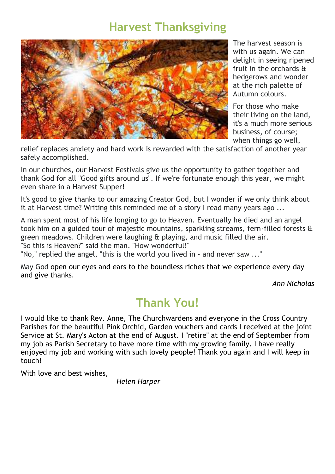### **Harvest Thanksgiving**



The harvest season is with us again. We can delight in seeing ripened fruit in the orchards & hedgerows and wonder at the rich palette of Autumn colours.

For those who make their living on the land, it's a much more serious business, of course; when things go well,

relief replaces anxiety and hard work is rewarded with the satisfaction of another year safely accomplished.

In our churches, our Harvest Festivals give us the opportunity to gather together and thank God for all "Good gifts around us". If we're fortunate enough this year, we might even share in a Harvest Supper!

It's good to give thanks to our amazing Creator God, but I wonder if we only think about it at Harvest time? Writing this reminded me of a story I read many years ago ...

A man spent most of his life longing to go to Heaven. Eventually he died and an angel took him on a guided tour of majestic mountains, sparkling streams, fern-filled forests & green meadows. Children were laughing & playing, and music filled the air. "So this is Heaven?" said the man. "How wonderful!"

"No," replied the angel, "this is the world you lived in - and never saw ..."

May God open our eyes and ears to the boundless riches that we experience every day and give thanks.

*Ann Nicholas*

# **Thank You!**

I would like to thank Rev. Anne, The Churchwardens and everyone in the Cross Country Parishes for the beautiful Pink Orchid, Garden vouchers and cards I received at the joint Service at St. Mary's Acton at the end of August. I "retire" at the end of September from my job as Parish Secretary to have more time with my growing family. I have really enjoyed my job and working with such lovely people! Thank you again and I will keep in touch!

With love and best wishes,

*Helen Harper*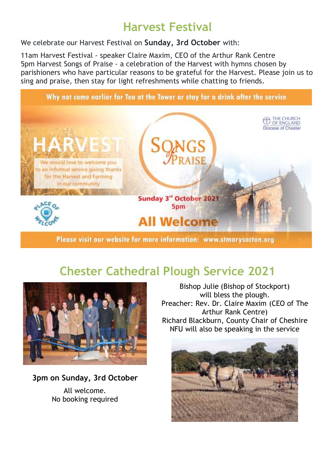# **Harvest Festival**

We celebrate our Harvest Festival on **Sunday, 3rd October** with:

11am Harvest Festival - speaker Claire Maxim, CEO of the Arthur Rank Centre 5pm Harvest Songs of Praise - a celebration of the Harvest with hymns chosen by parishioners who have particular reasons to be grateful for the Harvest. Please join us to sing and praise, then stay for light refreshments while chatting to friends.



# **Chester Cathedral Plough Service 2021**



**3pm on Sunday, 3rd October** All welcome. No booking required

Bishop Julie (Bishop of Stockport) will bless the plough. Preacher: Rev. Dr. Claire Maxim (CEO of The Arthur Rank Centre) Richard Blackburn, County Chair of Cheshire NFU will also be speaking in the service

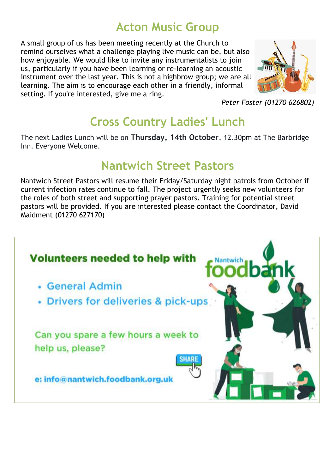# **Acton Music Group**

A small group of us has been meeting recently at the Church to remind ourselves what a challenge playing live music can be, but also how enjoyable. We would like to invite any instrumentalists to join us, particularly if you have been learning or re-learning an acoustic instrument over the last year. This is not a highbrow group; we are all learning. The aim is to encourage each other in a friendly, informal setting. If you're interested, give me a ring.



*Peter Foster (01270 626802)*

# **Cross Country Ladies' Lunch**

The next Ladies Lunch will be on **Thursday, 14th October**, 12.30pm at The Barbridge Inn. Everyone Welcome.

### **Nantwich Street Pastors**

Nantwich Street Pastors will resume their Friday/Saturday night patrols from October if current infection rates continue to fall. The project urgently seeks new volunteers for the roles of both street and supporting prayer pastors. Training for potential street pastors will be provided. If you are interested please contact the Coordinator, David Maidment (01270 627170)

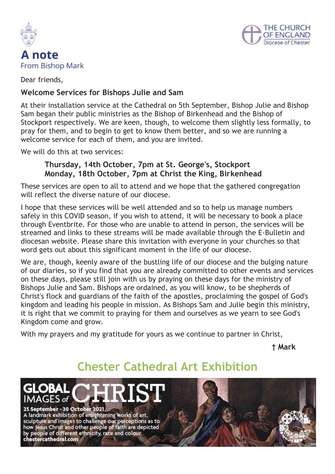



Dear friends,

#### **Welcome Services for Bishops Julie and Sam**

At their installation service at the Cathedral on 5th September, Bishop Julie and Bishop Sam began their public ministries as the Bishop of Birkenhead and the Bishop of Stockport respectively. We are keen, though, to welcome them slightly less formally, to pray for them, and to begin to get to know them better, and so we are running a welcome service for each of them, and you are invited.

We will do this at two services:

#### **Thursday, 14th October, 7pm at St. George's, Stockport Monday, 18th October, 7pm at Christ the King, Birkenhead**

These services are open to all to attend and we hope that the gathered congregation will reflect the diverse nature of our diocese.

I hope that these services will be well attended and so to help us manage numbers safely in this COVID season, if you wish to attend, it will be necessary to book a place through Eventbrite. For those who are unable to attend in person, the services will be streamed and links to these streams will be made available through the E-Bulletin and diocesan website. Please share this invitation with everyone in your churches so that word gets out about this significant moment in the life of our diocese.

We are, though, keenly aware of the bustling life of our diocese and the bulging nature of our diaries, so if you find that you are already committed to other events and services on these days, please still join with us by praying on these days for the ministry of Bishops Julie and Sam. Bishops are ordained, as you will know, to be shepherds of Christ's flock and guardians of the faith of the apostles, proclaiming the gospel of God's kingdom and leading his people in mission. As Bishops Sam and Julie begin this ministry, it is right that we commit to praying for them and ourselves as we yearn to see God's Kingdom come and grow.

With my prayers and my gratitude for yours as we continue to partner in Christ,

 **† Mark**

# **Chester Cathedral Art Exhibition**

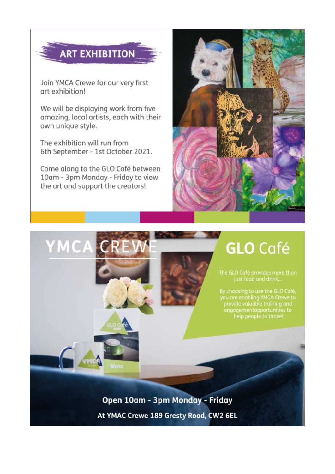# **ART EXHIBITION**

Join YMCA Crewe for our very first art exhibition!

We will be displaying work from five amazing, local artists, each with their own unique style.

The exhibition will run from 6th September - 1st October 2021.

Come along to the GLO Café between 10am - 3pm Monday - Friday to view the art and support the creators!